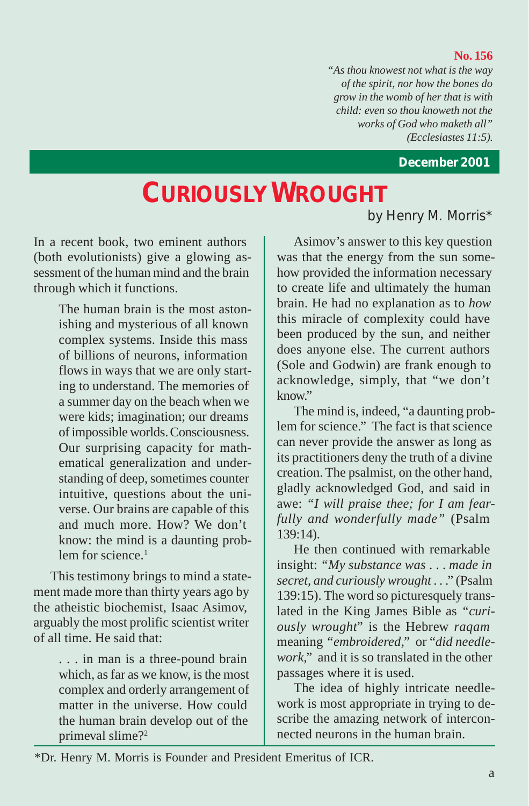## **No. 156**

*"As thou knowest not what is the way of the spirit, nor how the bones do grow in the womb of her that is with child: even so thou knoweth not the works of God who maketh all" (Ecclesiastes 11:5).*

 **December 2001**

## **CURIOUSLY WROUGHT** by Henry M. Morris\*

In a recent book, two eminent authors (both evolutionists) give a glowing assessment of the human mind and the brain through which it functions.

> The human brain is the most astonishing and mysterious of all known complex systems. Inside this mass of billions of neurons, information flows in ways that we are only starting to understand. The memories of a summer day on the beach when we were kids; imagination; our dreams of impossible worlds. Consciousness. Our surprising capacity for mathematical generalization and understanding of deep, sometimes counter intuitive, questions about the universe. Our brains are capable of this and much more. How? We don't know: the mind is a daunting problem for science. $1$

This testimony brings to mind a statement made more than thirty years ago by the atheistic biochemist, Isaac Asimov, arguably the most prolific scientist writer of all time. He said that:

> . . . in man is a three-pound brain which, as far as we know, is the most complex and orderly arrangement of matter in the universe. How could the human brain develop out of the primeval slime?<sup>2</sup>

Asimov's answer to this key question was that the energy from the sun somehow provided the information necessary to create life and ultimately the human brain. He had no explanation as to *how* this miracle of complexity could have been produced by the sun, and neither does anyone else. The current authors (Sole and Godwin) are frank enough to acknowledge, simply, that "we don't know."

The mind is, indeed, "a daunting problem for science." The fact is that science can never provide the answer as long as its practitioners deny the truth of a divine creation. The psalmist, on the other hand, gladly acknowledged God, and said in awe: *"I will praise thee; for I am fearfully and wonderfully made"* (Psalm 139:14).

He then continued with remarkable insight: *"My substance was* . . . *made in secret, and curiously wrought* . . ." (Psalm 139:15). The word so picturesquely translated in the King James Bible as *"curiously wrought*" is the Hebrew *raqam* meaning *"embroidered,"* or "*did needlework*," and it is so translated in the other passages where it is used.

The idea of highly intricate needlework is most appropriate in trying to describe the amazing network of interconnected neurons in the human brain.

\*Dr. Henry M. Morris is Founder and President Emeritus of ICR.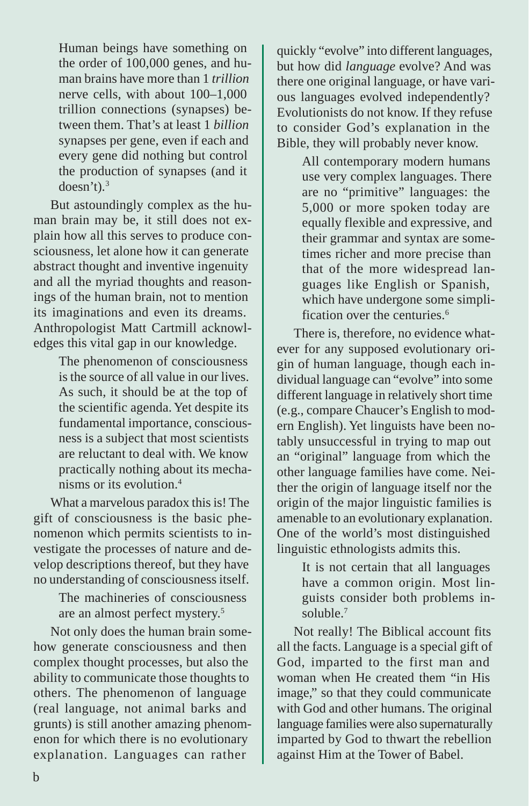Human beings have something on the order of 100,000 genes, and human brains have more than 1 *trillion* nerve cells, with about 100–1,000 trillion connections (synapses) between them. That's at least 1 *billion* synapses per gene, even if each and every gene did nothing but control the production of synapses (and it  $doesn't).$ <sup>3</sup>

But astoundingly complex as the human brain may be, it still does not explain how all this serves to produce consciousness, let alone how it can generate abstract thought and inventive ingenuity and all the myriad thoughts and reasonings of the human brain, not to mention its imaginations and even its dreams. Anthropologist Matt Cartmill acknowledges this vital gap in our knowledge.

> The phenomenon of consciousness is the source of all value in our lives. As such, it should be at the top of the scientific agenda. Yet despite its fundamental importance, consciousness is a subject that most scientists are reluctant to deal with. We know practically nothing about its mechanisms or its evolution.4

What a marvelous paradox this is! The gift of consciousness is the basic phenomenon which permits scientists to investigate the processes of nature and develop descriptions thereof, but they have no understanding of consciousness itself.

> The machineries of consciousness are an almost perfect mystery.5

Not only does the human brain somehow generate consciousness and then complex thought processes, but also the ability to communicate those thoughts to others. The phenomenon of language (real language, not animal barks and grunts) is still another amazing phenomenon for which there is no evolutionary explanation. Languages can rather

quickly "evolve" into different languages, but how did *language* evolve? And was there one original language, or have various languages evolved independently? Evolutionists do not know. If they refuse to consider God's explanation in the Bible, they will probably never know.

> All contemporary modern humans use very complex languages. There are no "primitive" languages: the 5,000 or more spoken today are equally flexible and expressive, and their grammar and syntax are sometimes richer and more precise than that of the more widespread languages like English or Spanish, which have undergone some simplification over the centuries. $6$

There is, therefore, no evidence whatever for any supposed evolutionary origin of human language, though each individual language can "evolve" into some different language in relatively short time (e.g., compare Chaucer's English to modern English). Yet linguists have been notably unsuccessful in trying to map out an "original" language from which the other language families have come. Neither the origin of language itself nor the origin of the major linguistic families is amenable to an evolutionary explanation. One of the world's most distinguished linguistic ethnologists admits this.

> It is not certain that all languages have a common origin. Most linguists consider both problems insoluble. $7$

Not really! The Biblical account fits all the facts. Language is a special gift of God, imparted to the first man and woman when He created them "in His image," so that they could communicate with God and other humans. The original language families were also supernaturally imparted by God to thwart the rebellion against Him at the Tower of Babel.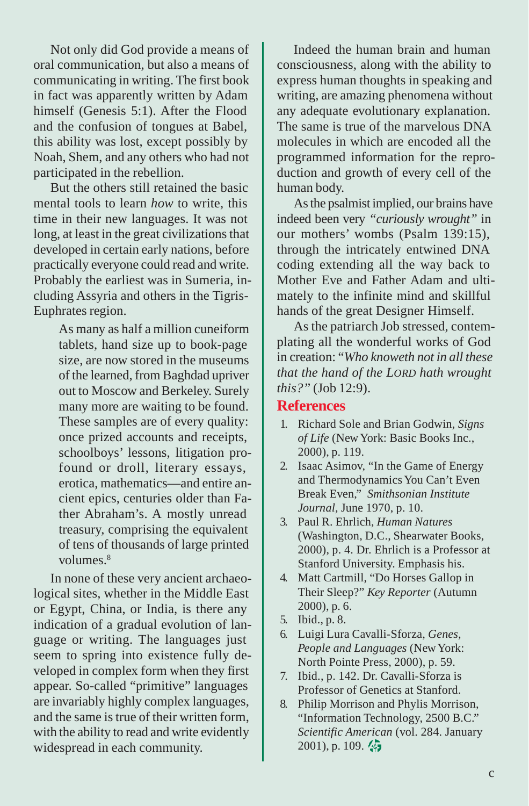Not only did God provide a means of oral communication, but also a means of communicating in writing. The first book in fact was apparently written by Adam himself (Genesis 5:1). After the Flood and the confusion of tongues at Babel, this ability was lost, except possibly by Noah, Shem, and any others who had not participated in the rebellion.

But the others still retained the basic mental tools to learn *how* to write, this time in their new languages. It was not long, at least in the great civilizations that developed in certain early nations, before practically everyone could read and write. Probably the earliest was in Sumeria, including Assyria and others in the Tigris-Euphrates region.

> As many as half a million cuneiform tablets, hand size up to book-page size, are now stored in the museums of the learned, from Baghdad upriver out to Moscow and Berkeley. Surely many more are waiting to be found. These samples are of every quality: once prized accounts and receipts, schoolboys' lessons, litigation profound or droll, literary essays, erotica, mathematics—and entire ancient epics, centuries older than Father Abraham's. A mostly unread treasury, comprising the equivalent of tens of thousands of large printed volumes.<sup>8</sup>

In none of these very ancient archaeological sites, whether in the Middle East or Egypt, China, or India, is there any indication of a gradual evolution of language or writing. The languages just seem to spring into existence fully developed in complex form when they first appear. So-called "primitive" languages are invariably highly complex languages, and the same is true of their written form, with the ability to read and write evidently widespread in each community.

Indeed the human brain and human consciousness, along with the ability to express human thoughts in speaking and writing, are amazing phenomena without any adequate evolutionary explanation. The same is true of the marvelous DNA molecules in which are encoded all the programmed information for the reproduction and growth of every cell of the human body.

As the psalmist implied, our brains have indeed been very *"curiously wrought"* in our mothers' wombs (Psalm 139:15), through the intricately entwined DNA coding extending all the way back to Mother Eve and Father Adam and ultimately to the infinite mind and skillful hands of the great Designer Himself.

As the patriarch Job stressed, contemplating all the wonderful works of God in creation: "*Who knoweth not in all these that the hand of the LORD hath wrought this?"* (Job 12:9).

## **References**

- 1. Richard Sole and Brian Godwin, *Signs of Life* (New York: Basic Books Inc., 2000), p. 119.
- 2. Isaac Asimov, "In the Game of Energy and Thermodynamics You Can't Even Break Even," *Smithsonian Institute Journal,* June 1970, p. 10.
- 3. Paul R. Ehrlich, *Human Natures* (Washington, D.C., Shearwater Books, 2000), p. 4. Dr. Ehrlich is a Professor at Stanford University. Emphasis his.
- 4. Matt Cartmill, "Do Horses Gallop in Their Sleep?" *Key Reporter* (Autumn 2000), p. 6.
- 5. Ibid., p. 8.
- 6. Luigi Lura Cavalli-Sforza, *Genes, People and Languages* (New York: North Pointe Press, 2000), p. 59.
- 7. Ibid., p. 142. Dr. Cavalli-Sforza is Professor of Genetics at Stanford.
- 8. Philip Morrison and Phylis Morrison, "Information Technology, 2500 B.C." *Scientific American* (vol. 284. January 2001), p. 109.